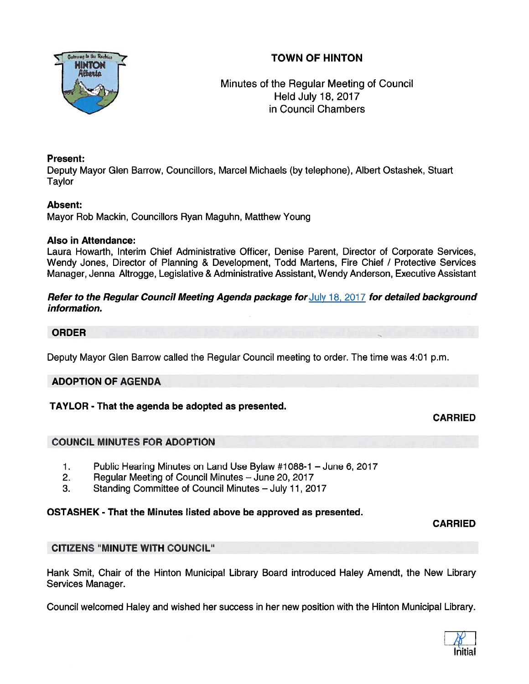# TOWN OF HINTON



# Minutes of the Regular Meeting of Council Held July 18, 2017 in Council Chambers

## Present:

Deputy Mayor Glen Barrow, Councillors, Marcel Michaels (by telephone), Albert Ostashek, Stuart Taylor

## Absent:

Mayor Rob Mackin, Councillors Ryan Maguhn, Matthew Young

## Also in Attendance:

Laura Howarth, Interim Chief Administrative Officer, Denise Parent, Director of Corporate Services, Wendy Jones, Director of Planning & Development, Todd Martens, Fire Chief / Protective Services Manager, Jenna Altrogge, Legislative & Administrative Assistant, Wendy Anderson, Executive Assistant

## Refer to the Regular Council Meeting Agenda package for July 18, 2017 for detailed background information.

## ORDER

Deputy Mayor Glen Barrow called the Regular Council meeting to order. The time was 4:01 p.m.

## ADOPTION OF AGENDA

## TAYLOR - That the agenda be adopted as presented.

## CARRIED

## COUNCIL MINUTES FOR ADOPTION

- 1. Public Hearing Minutes on Land Use Bylaw #1088-1 June 6, 2017
- 2. Regular Meeting of Council Minutes June 20, 2017
- 3. Standing Committee of Council Minutes July 11, 2017

## OSTASHEK - That the Minutes listed above be approved as presented.

CARRIED

## CITIZENS "MINUTE WITH COUNCIL"

Hank Smit, Chair of the Hinton Municipal Library Board introduced Haley Amendt, the New Library Services Manager.

Council welcomed Haley and wished her success in her new position with the Hinton Municipal Library.

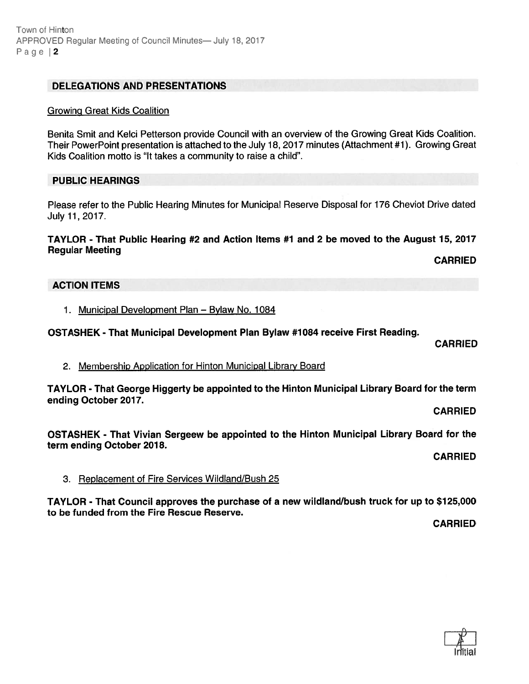#### DELEGATIONS AND PRESENTATIONS

#### GrowinQ Great Kids Coalition

Benita Smit and Kelci Petterson provide Council with an overview of the Growing Great Kids Coalition. Their PowerPoint presentation is attached to the July 18, 2017 minutes (Attachment #1). Growing Great Kids Coalition motto is "It takes <sup>a</sup> community to raise <sup>a</sup> child".

#### PUBLIC HEARINGS

Please refer to the Public Hearing Minutes for Municipal Reserve Disposal for 176 Cheviot Drive dated July 11,2017.

#### TAYLOR - That Public Hearing #2 and Action Items #1 and <sup>2</sup> be moved to the August 15, 2017 Regular Meeting

CARRIED

#### ACTION ITEMS

1. Municipal Development Plan — Bylaw No. 1084

OSTASHEK - That Municipal Development Plan Bylaw #1084 receive First Reading.

CARRIED

2. Membership Application for Hinton Municipal Library Board

TAYLOR - That George Higgerty be appointed to the Hinton Municipal Library Board for the term ending October 2017.

CARRIED

OSTASHEK - That Vivian Sergeew be appointed to the Hinton Municipal Library Board for the term ending October 2018.

CARRIED

3. Replacement of Fire Services Wildland/Bush 25

TAYLOR - That Council approves the purchase of <sup>a</sup> new wildland/bush truck for up to \$125,000 to be funded from the Fire Rescue Reserve.

CARRIED

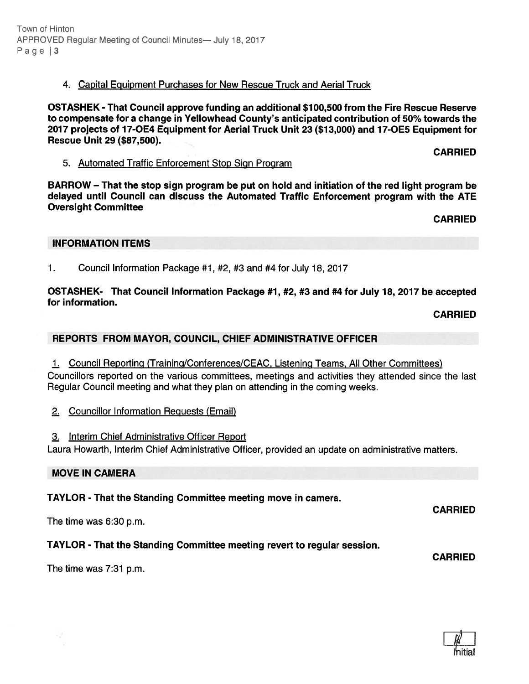## 4. Capital Eguipment Purchases for New Rescue Truck and Aerial Truck

OSTASHEK -That Council approve funding an additional \$100,500 from the Fire Rescue Reserve to compensate for <sup>a</sup> change in Yellowhead County's anticipated contribution of 50% towards the 2077 projects of 77-0E4 Equipment for Aerial Truck Unit 23 (\$73,000) and 17-0E5 Equipment for Rescue Unit 29 (\$87,500).

#### 5. Automated Traffic Enforcement Stop Sign Program

BARROW — That the stop sign program be pu<sup>t</sup> on hold and initiation of the red light program be delayed until Council can discuss the Automated Traffic Enforcement program with the ATE Oversight Committee

CARRIED

CARRIED

#### INFORMATION ITEMS

1. Council Information Package #1, #2, #3 and #4 for July 18, 2017

OSTASHEK- That Council Information Package #7, #2, #3 and #4 for July 18, 2017 be accepted for information.

CARRIED

## REPORTS FROM MAYOR, COUNCIL, CHIEF ADMINISTRATIVE OFFICER

1. Council Reporting (Training/Conferences/CEAC, Listening Teams, All Other Committees)

Councillors reported on the various committees, meetings and activities they attended since the last Regular Council meeting and what they plan on attending in the coming weeks.

- 2. Councillor Information Reguests (Email)
- 3. Interim Chief Administrative Officer Report

Laura Howarth, Interim Chief Administrative Officer, provided an update on administrative matters.

#### MOVE IN CAMERA

## TAYLOR - That the Standing Committee meeting move in camera.

The time was 6:30 p.m.

## TAYLOR - That the Standing Committee meeting revert to regular session.

CARRIED

CARRIED

The time was 7:31 p.m.

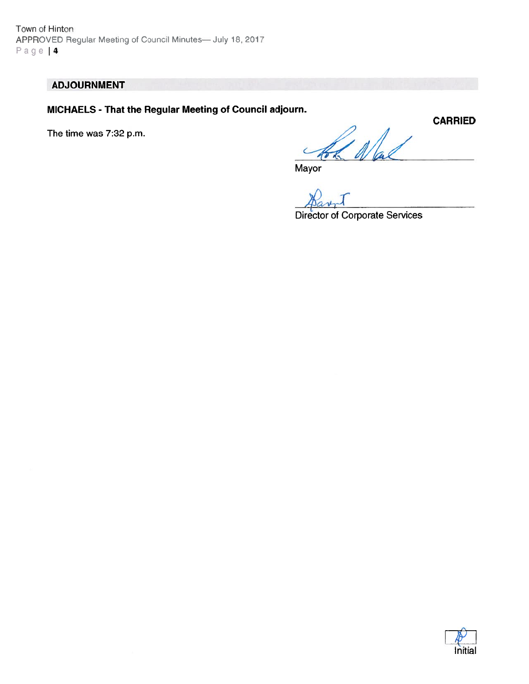Town of Hinton APPROVED Regular Meeting of Council Minutes— July 18, 2017 Page | 4

## ADJOURNMENT

MICHAELS - That the Regular Meeting of Council adjourn.

The time was 7:32 p.m.

War

Mayor

Director of Corporate Services

**CARRIED** 

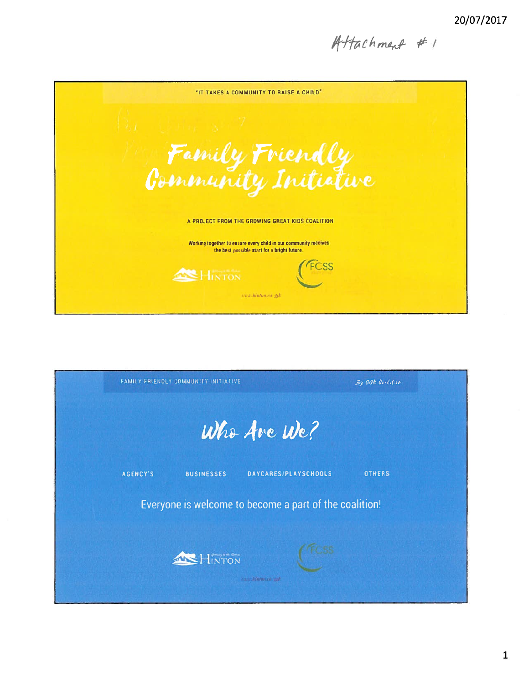Attachment #1



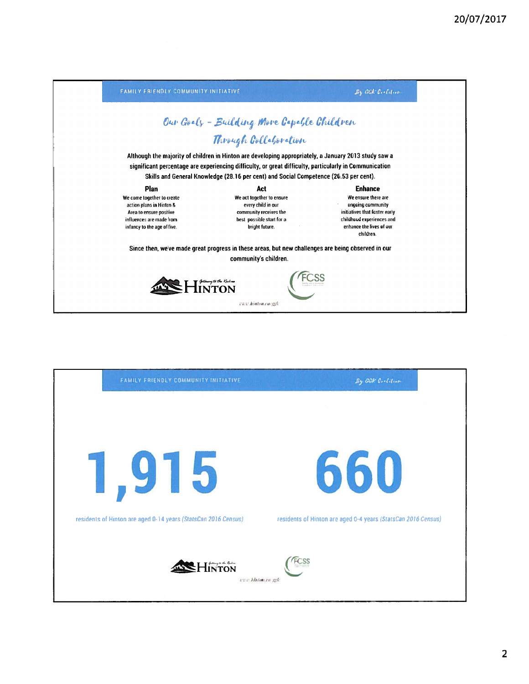| FAMILY FRIENDLY COMMUNITY INITIATIVE                                                                                                         |                                                                                                                                                                                                                                                                                                         | $By$ GGK Coolding                                                                                                                               |
|----------------------------------------------------------------------------------------------------------------------------------------------|---------------------------------------------------------------------------------------------------------------------------------------------------------------------------------------------------------------------------------------------------------------------------------------------------------|-------------------------------------------------------------------------------------------------------------------------------------------------|
|                                                                                                                                              | Our Goely - Building More Gapable Children                                                                                                                                                                                                                                                              |                                                                                                                                                 |
|                                                                                                                                              | Through Collaboration                                                                                                                                                                                                                                                                                   |                                                                                                                                                 |
|                                                                                                                                              | Although the majority of children in Hinton are developing appropriately, a January 2013 study saw a<br>significant percentage are experiencing difficulty, or great difficulty, particularly in Communication<br>Skills and General Knowledge (28.16 per cent) and Social Competence (26.53 per cent). |                                                                                                                                                 |
| Plan                                                                                                                                         | Act                                                                                                                                                                                                                                                                                                     | <b>Enhance</b>                                                                                                                                  |
| We come together to create<br>action plans in Hinton &<br>Area to ensure positive<br>influences are made from<br>infancy to the age of five. | We act together to ensure<br>every child in our<br>community receives the<br>best possible start for a<br>bright future.                                                                                                                                                                                | We ensure there are<br>ongoing community<br>initiatives that foster early<br>childhood experiences and<br>enhance the lives of our<br>children. |
|                                                                                                                                              | Since then, we've made great progress in these areas, but new challenges are being observed in our<br>community's children.                                                                                                                                                                             |                                                                                                                                                 |
|                                                                                                                                              | www.hiuton.ca/ggk                                                                                                                                                                                                                                                                                       |                                                                                                                                                 |

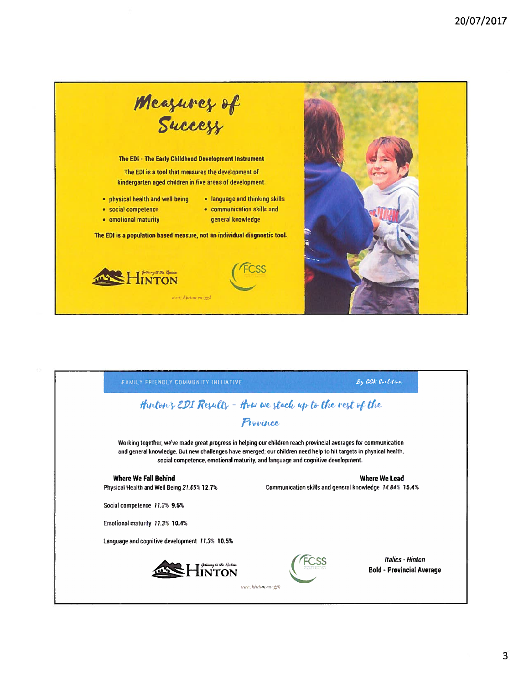

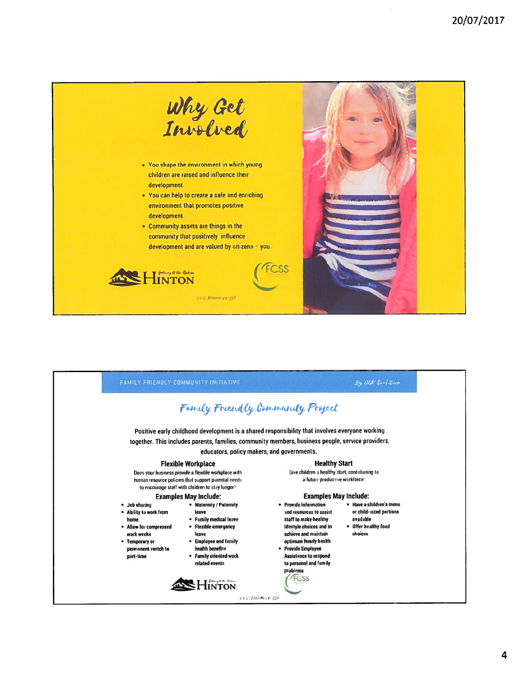

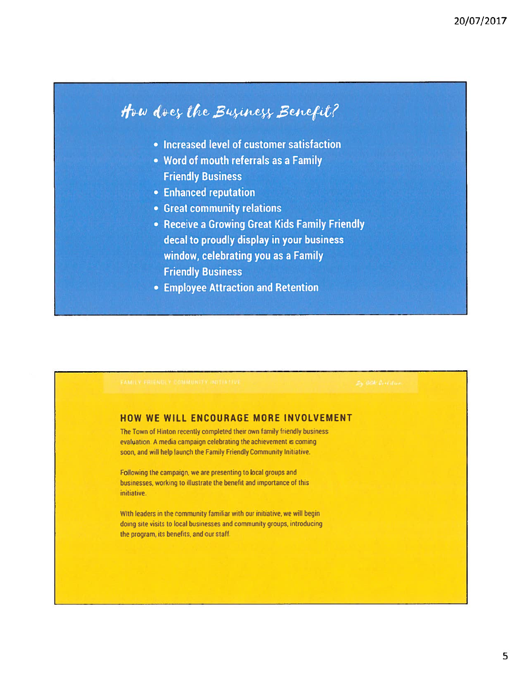# How does the Business Benefit?

- Increased level of customer satisfaction
- Word of mouth referrals as a Family **Friendly Business**
- Enhanced reputation
- Great community relations
- Receive a Growing Great Kids Family Friendly decal to proudly display in your business window, celebrating you as a Family **Friendly Business**
- **Employee Attraction and Retention**